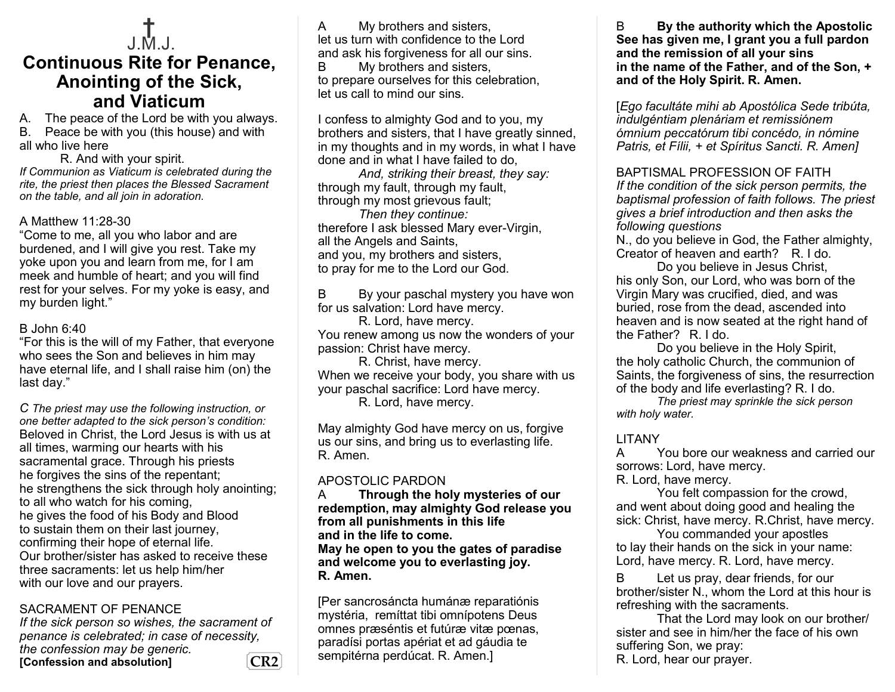# **†**  J.M.J. **Continuous Rite for Penance, Anointing of the Sick, and Viaticum**

A. The peace of the Lord be with you always. B. Peace be with you (this house) and with all who live here

R. And with your spirit. *If Communion as Viaticum is celebrated during the rite, the priest then places the Blessed Sacrament on the table, and all join in adoration.*

#### A Matthew 11:28-30

"Come to me, all you who labor and are burdened, and I will give you rest. Take my yoke upon you and learn from me, for I am meek and humble of heart; and you will find rest for your selves. For my yoke is easy, and my burden light."

#### B John 6:40

"For this is the will of my Father, that everyone who sees the Son and believes in him may have eternal life, and I shall raise him (on) the last day."

*C The priest may use the following instruction, or one better adapted to the sick person's condition:* Beloved in Christ, the Lord Jesus is with us at all times, warming our hearts with his sacramental grace. Through his priests he forgives the sins of the repentant; he strengthens the sick through holy anointing; to all who watch for his coming, he gives the food of his Body and Blood to sustain them on their last journey, confirming their hope of eternal life. Our brother/sister has asked to receive these three sacraments: let us help him/her with our love and our prayers.

# SACRAMENT OF PENANCE

*If the sick person so wishes, the sacrament of penance is celebrated; in case of necessity, the confession may be generic.* **[Confession and absolution]** 

**redemption, may almighty God release you from all punishments in this life**

R. Amen.

**and in the life to come. May he open to you the gates of paradise and welcome you to everlasting joy. R. Amen.**

A My brothers and sisters, let us turn with confidence to the Lord and ask his forgiveness for all our sins.

B My brothers and sisters,

let us call to mind our sins.

all the Angels and Saints,

to prepare ourselves for this celebration,

I confess to almighty God and to you, my brothers and sisters, that I have greatly sinned, in my thoughts and in my words, in what I have

*And, striking their breast, they say:*

B By your paschal mystery you have won

You renew among us now the wonders of your

When we receive your body, you share with us your paschal sacrifice: Lord have mercy. R. Lord, have mercy.

May almighty God have mercy on us, forgive us our sins, and bring us to everlasting life.

A **Through the holy mysteries of our** 

done and in what I have failed to do,

through my fault, through my fault, through my most grievous fault; *Then they continue:* therefore I ask blessed Mary ever-Virgin,

and you, my brothers and sisters, to pray for me to the Lord our God.

for us salvation: Lord have mercy. R. Lord, have mercy.

R. Christ, have mercy.

passion: Christ have mercy.

APOSTOLIC PARDON

[Per sancrosáncta humánæ reparatiónis mystéria, remíttat tibi omnípotens Deus omnes præséntis et futúræ vitæ pœnas, paradísi portas apériat et ad gáudia te sempitérna perdúcat. R. Amen.] **CR2** Sempitérna perducat. R. Amen. **Example 19 Sempitérna de la R. Lord, hear our prayer.** 

B **By the authority which the Apostolic See has given me, I grant you a full pardon and the remission of all your sins in the name of the Father, and of the Son, + and of the Holy Spirit. R. Amen.**

[*Ego facultáte mihi ab Apostólica Sede tribúta, indulgéntiam plenáriam et remissiónem ómnium peccatórum tibi concédo, in nómine Patris, et Fílii, + et Spíritus Sancti. R. Amen]*

# BAPTISMAL PROFESSION OF FAITH

*If the condition of the sick person permits, the baptismal profession of faith follows. The priest gives a brief introduction and then asks the following questions* 

N., do you believe in God, the Father almighty, Creator of heaven and earth?R. I do.

Do you believe in Jesus Christ, his only Son, our Lord, who was born of the Virgin Mary was crucified, died, and was buried, rose from the dead, ascended into heaven and is now seated at the right hand of the Father?R. I do.

Do you believe in the Holy Spirit, the holy catholic Church, the communion of Saints, the forgiveness of sins, the resurrection of the body and life everlasting? R. I do.

*The priest may sprinkle the sick person with holy water.*

### LITANY

A You bore our weakness and carried our sorrows: Lord, have mercy.

R. Lord, have mercy.

You felt compassion for the crowd, and went about doing good and healing the sick: Christ, have mercy. R.Christ, have mercy.

You commanded your apostles to lay their hands on the sick in your name: Lord, have mercy. R. Lord, have mercy.

B Let us pray, dear friends, for our brother/sister N., whom the Lord at this hour is refreshing with the sacraments.

That the Lord may look on our brother/ sister and see in him/her the face of his own suffering Son, we pray: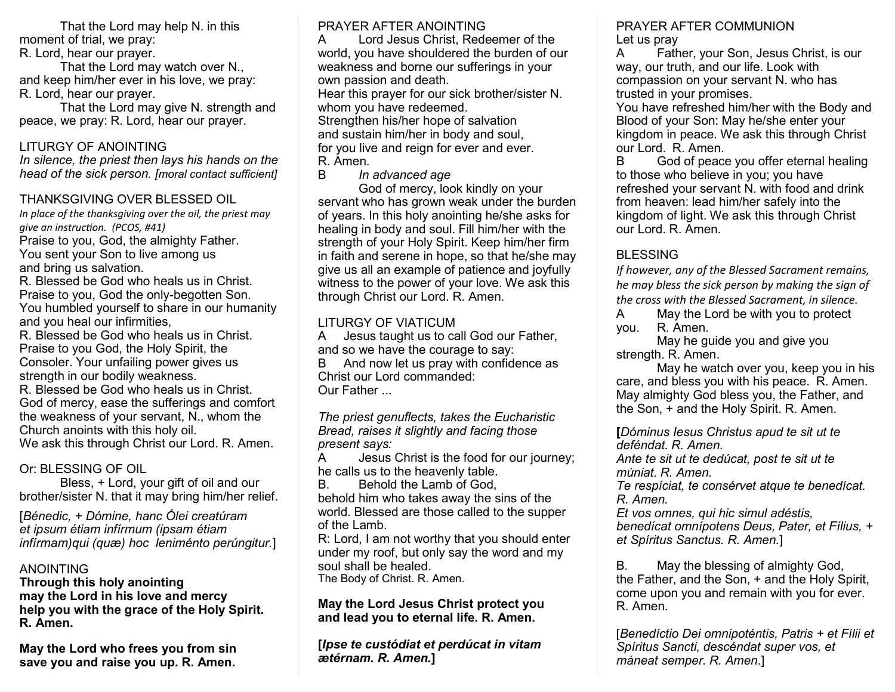That the Lord may help N. in this moment of trial, we pray: R. Lord, hear our prayer.

That the Lord may watch over N., and keep him/her ever in his love, we pray: R. Lord, hear our prayer.

That the Lord may give N. strength and peace, we pray: R. Lord, hear our prayer.

### LITURGY OF ANOINTING

*In silence, the priest then lays his hands on the head of the sick person. [moral contact sufficient]*

#### THANKSGIVING OVER BLESSED OIL

*In place of the thanksgiving over the oil, the priest may give an instruction. (PCOS, #41)* Praise to you, God, the almighty Father. You sent your Son to live among us

and bring us salvation.

R. Blessed be God who heals us in Christ. Praise to you, God the only-begotten Son. You humbled yourself to share in our humanity and you heal our infirmities,

R. Blessed be God who heals us in Christ. Praise to you God, the Holy Spirit, the Consoler. Your unfailing power gives us strength in our bodily weakness. R. Blessed be God who heals us in Christ. God of mercy, ease the sufferings and comfort

the weakness of your servant, N., whom the Church anoints with this holy oil. We ask this through Christ our Lord. R. Amen.

### Or: BLESSING OF OIL

Bless, + Lord, your gift of oil and our brother/sister N. that it may bring him/her relief.

[*Bénedic, + Dómine, hanc Ólei creatúram et ipsum étiam infírmum (ipsam étiam infírmam)qui (quæ) hoc leniménto perúngitur.*]

### ANOINTING

**Through this holy anointing may the Lord in his love and mercy help you with the grace of the Holy Spirit. R. Amen.**

**May the Lord who frees you from sin save you and raise you up. R. Amen.**

#### PRAYER AFTER ANOINTING

A Lord Jesus Christ, Redeemer of the world, you have shouldered the burden of our weakness and borne our sufferings in your own passion and death.

Hear this prayer for our sick brother/sister N. whom you have redeemed.

Strengthen his/her hope of salvation and sustain him/her in body and soul, for you live and reign for ever and ever. R. Amen.

B *In advanced age*

God of mercy, look kindly on your servant who has grown weak under the burden of years. In this holy anointing he/she asks for healing in body and soul. Fill him/her with the strength of your Holy Spirit. Keep him/her firm in faith and serene in hope, so that he/she may give us all an example of patience and joyfully witness to the power of your love. We ask this through Christ our Lord. R. Amen.

### LITURGY OF VIATICUM

A Jesus taught us to call God our Father, and so we have the courage to say: B And now let us pray with confidence as Christ our Lord commanded: Our Father ...

*The priest genuflects, takes the Eucharistic Bread, raises it slightly and facing those present says:*

A Jesus Christ is the food for our journey; he calls us to the heavenly table.

B. Behold the Lamb of God, behold him who takes away the sins of the world. Blessed are those called to the supper of the Lamb.

R: Lord, I am not worthy that you should enter under my roof, but only say the word and my soul shall be healed. The Body of Christ. R. Amen.

#### **May the Lord Jesus Christ protect you and lead you to eternal life. R. Amen.**

**[***Ipse te custódiat et perdúcat in vitam ætérnam. R. Amen.***]**

#### PRAYER AFTER COMMUNION Let us pray

A Father, your Son, Jesus Christ, is our way, our truth, and our life. Look with compassion on your servant N. who has trusted in your promises.

You have refreshed him/her with the Body and Blood of your Son: May he/she enter your kingdom in peace. We ask this through Christ our Lord.R. Amen.

B God of peace you offer eternal healing to those who believe in you; you have refreshed your servant N. with food and drink from heaven: lead him/her safely into the kingdom of light. We ask this through Christ our Lord. R. Amen.

# BLESSING

*If however, any of the Blessed Sacrament remains, he may bless the sick person by making the sign of the cross with the Blessed Sacrament, in silence.* 

A May the Lord be with you to protect you. R. Amen.

May he guide you and give you strength. R. Amen.

May he watch over you, keep you in his care, and bless you with his peace.R. Amen. May almighty God bless you, the Father, and the Son, + and the Holy Spirit. R. Amen.

**[***Dóminus Iesus Christus apud te sit ut te deféndat. R. Amen.*

*Ante te sit ut te dedúcat, post te sit ut te múniat. R. Amen.*

*Te respíciat, te consérvet atque te benedícat. R. Amen.*

*Et vos omnes, qui hic simul adéstis, benedícat omnípotens Deus, Pater, et Fílius, + et Spíritus Sanctus. R. Amen.*]

B. May the blessing of almighty God, the Father, and the Son, + and the Holy Spirit, come upon you and remain with you for ever. R. Amen.

[*Benedíctio Dei omnipoténtis, Patris + et Fílii et Spíritus Sancti, descéndat super vos, et máneat semper. R. Amen*.]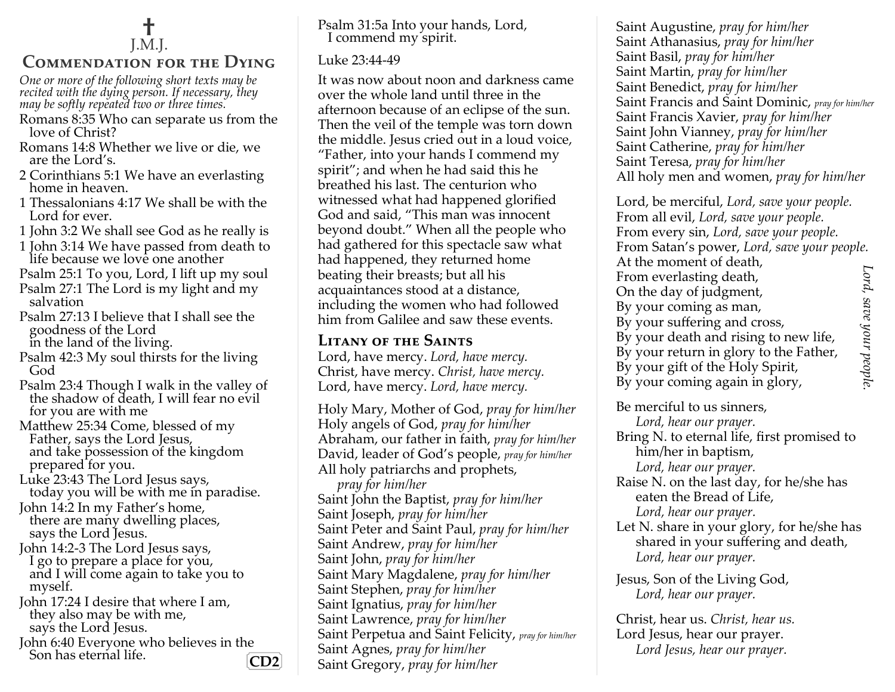# **†** J.M.J. **Commendation for the Dying**

*One or more of the following short texts may be recited with the dying person. If necessary, they may be softly repeated two or three times.*

- Romans 8:35 Who can separate us from the love of Christ?
- Romans 14:8 Whether we live or die, we are the Lord's.
- 2 Corinthians 5:1 We have an everlasting home in heaven.
- 1 Thessalonians 4:17 We shall be with the Lord for ever.
- 1 John 3:2 We shall see God as he really is
- 1 John 3:14 We have passed from death to life because we love one another
- Psalm 25:1 To you, Lord, I lift up my soul
- Psalm 27:1 The Lord is my light and my salvation
- Psalm 27:13 I believe that I shall see the goodness of the Lord in the land of the living.

Psalm 42:3 My soul thirsts for the living God

- Psalm 23:4 Though I walk in the valley of the shadow of death, I will fear no evil for you are with me
- Matthew 25:34 Come, blessed of my Father, says the Lord Jesus, and take possession of the kingdom prepared for you.
- Luke 23:43 The Lord Jesus says, today you will be with me in paradise.
- John 14:2 In my Father's home, there are many dwelling places, says the Lord Jesus.
- John 14:2-3 The Lord Jesus says, I go to prepare a place for you, and I will come again to take you to myself.
- John 17:24 I desire that where I am, they also may be with me, says the Lord Jesus.
- John 6:40 Everyone who believes in the Son has eternal life. **CD2**

Psalm 31:5a Into your hands, Lord, I commend my spirit.

# Luke 23:44-49

It was now about noon and darkness came over the whole land until three in the afternoon because of an eclipse of the sun. Then the veil of the temple was torn down the middle. Jesus cried out in a loud voice, "Father, into your hands I commend my spirit"; and when he had said this he breathed his last. The centurion who witnessed what had happened glorified God and said, "This man was innocent beyond doubt." When all the people who had gathered for this spectacle saw what had happened, they returned home beating their breasts; but all his acquaintances stood at a distance, including the women who had followed him from Galilee and saw these events.

# **Litany of the Saints**

Lord, have mercy. *Lord, have mercy.*  Christ, have mercy. *Christ, have mercy.*  Lord, have mercy. *Lord, have mercy.* 

Holy Mary, Mother of God, *pray for him/her*  Holy angels of God, *pray for him/her*  Abraham, our father in faith, *pray for him/her*  David, leader of God's people, *pray for him/her* All holy patriarchs and prophets,

*pray for him/her*  Saint John the Baptist, *pray for him/her*  Saint Joseph, *pray for him/her*  Saint Peter and Saint Paul, *pray for him/her*  Saint Andrew, *pray for him/her*  Saint John, *pray for him/her*  Saint Mary Magdalene, *pray for him/her*  Saint Stephen, *pray for him/her*  Saint Ignatius, *pray for him/her*  Saint Lawrence, *pray for him/her*  Saint Perpetua and Saint Felicity, *pray for him/her*  Saint Agnes, *pray for him/her*  Saint Gregory, *pray for him/her* 

Saint Augustine, *pray for him/her*  Saint Athanasius, *pray for him/her*  Saint Basil, *pray for him/her*  Saint Martin, *pray for him/her*  Saint Benedict, *pray for him/her*  Saint Francis and Saint Dominic, *pray for him/her*  Saint Francis Xavier, *pray for him/her*  Saint John Vianney, *pray for him/her*  Saint Catherine, *pray for him/her*  Saint Teresa, *pray for him/her*  All holy men and women, *pray for him/her* 

Lord, be merciful, *Lord, save your people.*  From all evil, *Lord, save your people.*  From every sin, *Lord, save your people.*  From Satan's power, *Lord, save your people.*  At the moment of death, From everlasting death, On the day of judgment, By your coming as man, By your suffering and cross, By your death and rising to new life, By your return in glory to the Father, By your gift of the Holy Spirit, By your coming again in glory,

*Lord, save your people.*  Lord, save your people

Be merciful to us sinners, *Lord, hear our prayer.*  Bring N. to eternal life, first promised to him/her in baptism, *Lord, hear our prayer.*  Raise N. on the last day, for he/she has eaten the Bread of Life, *Lord, hear our prayer.*  Let N. share in your glory, for he/she has shared in your suffering and death, *Lord, hear our prayer.*  Jesus, Son of the Living God,

*Lord, hear our prayer.* 

Christ, hear us. *Christ, hear us.*  Lord Jesus, hear our prayer. *Lord Jesus, hear our prayer.*